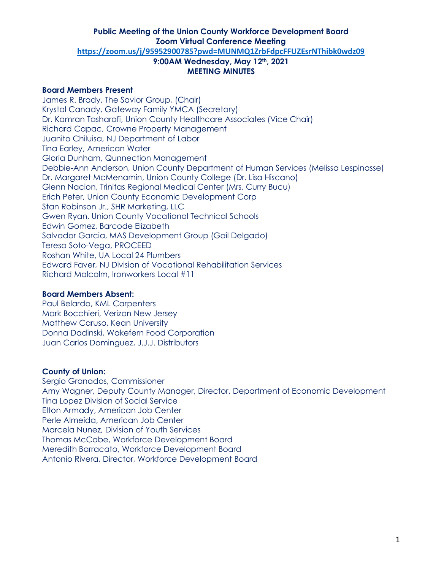#### **Board Members Present**

James R. Brady, The Savior Group, (Chair) Krystal Canady, Gateway Family YMCA (Secretary) Dr. Kamran Tasharofi, Union County Healthcare Associates (Vice Chair) Richard Capac, Crowne Property Management Juanito Chiluisa, NJ Department of Labor Tina Earley, American Water Gloria Dunham, Qunnection Management Debbie-Ann Anderson, Union County Department of Human Services (Melissa Lespinasse) Dr. Margaret McMenamin, Union County College (Dr. Lisa Hiscano) Glenn Nacion, Trinitas Regional Medical Center (Mrs. Curry Bucu) Erich Peter, Union County Economic Development Corp Stan Robinson Jr., SHR Marketing, LLC Gwen Ryan, Union County Vocational Technical Schools Edwin Gomez, Barcode Elizabeth Salvador Garcia, MAS Development Group (Gail Delgado) Teresa Soto-Vega, PROCEED Roshan White, UA Local 24 Plumbers Edward Faver, NJ Division of Vocational Rehabilitation Services Richard Malcolm, Ironworkers Local #11

#### **Board Members Absent:**

Paul Belardo, KML Carpenters Mark Bocchieri, Verizon New Jersey Matthew Caruso, Kean University Donna Dadinski, Wakefern Food Corporation Juan Carlos Dominguez, J.J.J. Distributors

#### **County of Union:**

Sergio Granados, Commissioner Amy Wagner, Deputy County Manager, Director, Department of Economic Development Tina Lopez Division of Social Service Elton Armady, American Job Center Perle Almeida, American Job Center Marcela Nunez, Division of Youth Services Thomas McCabe, Workforce Development Board Meredith Barracato, Workforce Development Board Antonio Rivera, Director, Workforce Development Board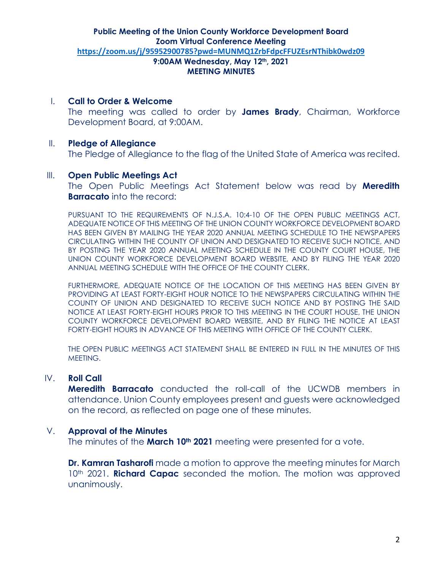I. **Call to Order & Welcome**

The meeting was called to order by **James Brady**, Chairman, Workforce Development Board, at 9:00AM.

# II. **Pledge of Allegiance**

The Pledge of Allegiance to the flag of the United State of America was recited.

#### III. **Open Public Meetings Act**

The Open Public Meetings Act Statement below was read by **Meredith Barracato** into the record:

PURSUANT TO THE REQUIREMENTS OF N.J.S.A. 10:4-10 OF THE OPEN PUBLIC MEETINGS ACT, ADEQUATE NOTICE OF THIS MEETING OF THE UNION COUNTY WORKFORCE DEVELOPMENT BOARD HAS BEEN GIVEN BY MAILING THE YEAR 2020 ANNUAL MEETING SCHEDULE TO THE NEWSPAPERS CIRCULATING WITHIN THE COUNTY OF UNION AND DESIGNATED TO RECEIVE SUCH NOTICE, AND BY POSTING THE YEAR 2020 ANNUAL MEETING SCHEDULE IN THE COUNTY COURT HOUSE, THE UNION COUNTY WORKFORCE DEVELOPMENT BOARD WEBSITE, AND BY FILING THE YEAR 2020 ANNUAL MEETING SCHEDULE WITH THE OFFICE OF THE COUNTY CLERK.

FURTHERMORE, ADEQUATE NOTICE OF THE LOCATION OF THIS MEETING HAS BEEN GIVEN BY PROVIDING AT LEAST FORTY-EIGHT HOUR NOTICE TO THE NEWSPAPERS CIRCULATING WITHIN THE COUNTY OF UNION AND DESIGNATED TO RECEIVE SUCH NOTICE AND BY POSTING THE SAID NOTICE AT LEAST FORTY-EIGHT HOURS PRIOR TO THIS MEETING IN THE COURT HOUSE, THE UNION COUNTY WORKFORCE DEVELOPMENT BOARD WEBSITE, AND BY FILING THE NOTICE AT LEAST FORTY-EIGHT HOURS IN ADVANCE OF THIS MEETING WITH OFFICE OF THE COUNTY CLERK.

THE OPEN PUBLIC MEETINGS ACT STATEMENT SHALL BE ENTERED IN FULL IN THE MINUTES OF THIS MEETING.

# IV. **Roll Call**

**Meredith Barracato** conducted the roll-call of the UCWDB members in attendance. Union County employees present and guests were acknowledged on the record, as reflected on page one of these minutes.

# V. **Approval of the Minutes**

The minutes of the **March 10th 2021** meeting were presented for a vote.

**Dr. Kamran Tasharofi** made a motion to approve the meeting minutes for March 10<sup>th</sup> 2021. **Richard Capac** seconded the motion. The motion was approved unanimously.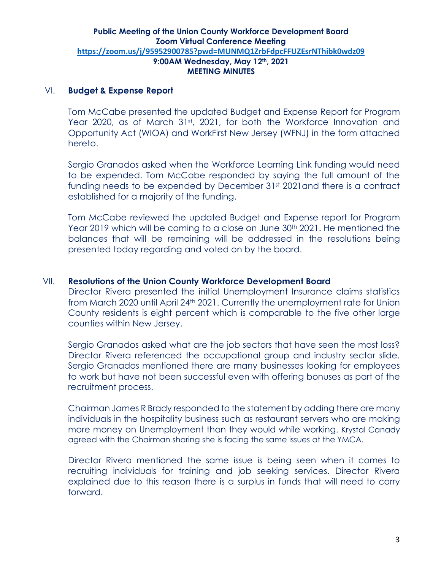# VI. **Budget & Expense Report**

Tom McCabe presented the updated Budget and Expense Report for Program Year 2020, as of March 31st, 2021, for both the Workforce Innovation and Opportunity Act (WIOA) and WorkFirst New Jersey (WFNJ) in the form attached hereto.

Sergio Granados asked when the Workforce Learning Link funding would need to be expended. Tom McCabe responded by saying the full amount of the funding needs to be expended by December 31st 2021 and there is a contract established for a majority of the funding.

Tom McCabe reviewed the updated Budget and Expense report for Program Year 2019 which will be coming to a close on June 30<sup>th</sup> 2021. He mentioned the balances that will be remaining will be addressed in the resolutions being presented today regarding and voted on by the board.

# VII. **Resolutions of the Union County Workforce Development Board**

Director Rivera presented the initial Unemployment Insurance claims statistics from March 2020 until April 24th 2021. Currently the unemployment rate for Union County residents is eight percent which is comparable to the five other large counties within New Jersey.

Sergio Granados asked what are the job sectors that have seen the most loss? Director Rivera referenced the occupational group and industry sector slide. Sergio Granados mentioned there are many businesses looking for employees to work but have not been successful even with offering bonuses as part of the recruitment process.

Chairman James R Brady responded to the statement by adding there are many individuals in the hospitality business such as restaurant servers who are making more money on Unemployment than they would while working. Krystal Canady agreed with the Chairman sharing she is facing the same issues at the YMCA.

Director Rivera mentioned the same issue is being seen when it comes to recruiting individuals for training and job seeking services. Director Rivera explained due to this reason there is a surplus in funds that will need to carry forward.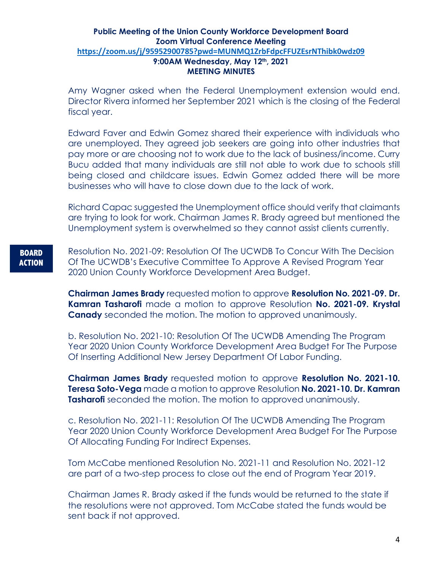Amy Wagner asked when the Federal Unemployment extension would end. Director Rivera informed her September 2021 which is the closing of the Federal fiscal year.

Edward Faver and Edwin Gomez shared their experience with individuals who are unemployed. They agreed job seekers are going into other industries that pay more or are choosing not to work due to the lack of business/income. Curry Bucu added that many individuals are still not able to work due to schools still being closed and childcare issues. Edwin Gomez added there will be more businesses who will have to close down due to the lack of work.

Richard Capac suggested the Unemployment office should verify that claimants are trying to look for work. Chairman James R. Brady agreed but mentioned the Unemployment system is overwhelmed so they cannot assist clients currently.

# **BOARD ACTION**

Resolution No. 2021-09: Resolution Of The UCWDB To Concur With The Decision Of The UCWDB's Executive Committee To Approve A Revised Program Year 2020 Union County Workforce Development Area Budget.

**Chairman James Brady** requested motion to approve **Resolution No. 2021-09. Dr. Kamran Tasharofi** made a motion to approve Resolution **No. 2021-09. Krystal Canady** seconded the motion. The motion to approved unanimously.

b. Resolution No. 2021-10: Resolution Of The UCWDB Amending The Program Year 2020 Union County Workforce Development Area Budget For The Purpose Of Inserting Additional New Jersey Department Of Labor Funding.

**Chairman James Brady** requested motion to approve **Resolution No. 2021-10. Teresa Soto-Vega** made a motion to approve Resolution **No. 2021-10. Dr. Kamran Tasharofi** seconded the motion. The motion to approved unanimously.

c. Resolution No. 2021-11: Resolution Of The UCWDB Amending The Program Year 2020 Union County Workforce Development Area Budget For The Purpose Of Allocating Funding For Indirect Expenses.

Tom McCabe mentioned Resolution No. 2021-11 and Resolution No. 2021-12 are part of a two-step process to close out the end of Program Year 2019.

Chairman James R. Brady asked if the funds would be returned to the state if the resolutions were not approved. Tom McCabe stated the funds would be sent back if not approved.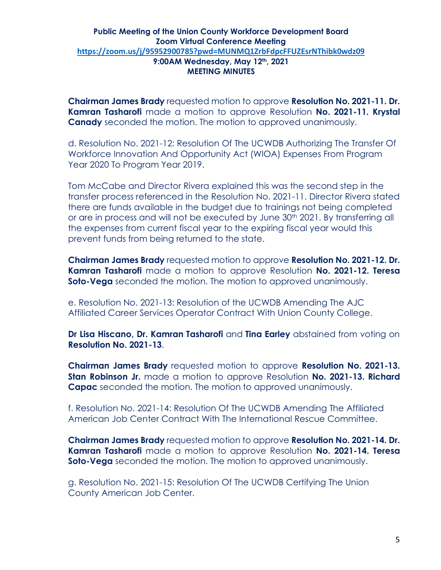**Chairman James Brady** requested motion to approve **Resolution No. 2021-11. Dr. Kamran Tasharofi** made a motion to approve Resolution **No. 2021-11. Krystal Canady** seconded the motion. The motion to approved unanimously.

d. Resolution No. 2021-12: Resolution Of The UCWDB Authorizing The Transfer Of Workforce Innovation And Opportunity Act (WIOA) Expenses From Program Year 2020 To Program Year 2019.

Tom McCabe and Director Rivera explained this was the second step in the transfer process referenced in the Resolution No. 2021-11. Director Rivera stated there are funds available in the budget due to trainings not being completed or are in process and will not be executed by June 30<sup>th</sup> 2021. By transferring all the expenses from current fiscal year to the expiring fiscal year would this prevent funds from being returned to the state.

**Chairman James Brady** requested motion to approve **Resolution No. 2021-12. Dr. Kamran Tasharofi** made a motion to approve Resolution **No. 2021-12. Teresa Soto-Vega** seconded the motion. The motion to approved unanimously.

e. Resolution No. 2021-13: Resolution of the UCWDB Amending The AJC Affiliated Career Services Operator Contract With Union County College.

**Dr Lisa Hiscano, Dr. Kamran Tasharofi** and **Tina Earley** abstained from voting on **Resolution No. 2021-13**.

**Chairman James Brady** requested motion to approve **Resolution No. 2021-13. Stan Robinson Jr.** made a motion to approve Resolution **No. 2021-13. Richard Capac** seconded the motion. The motion to approved unanimously.

f. Resolution No. 2021-14: Resolution Of The UCWDB Amending The Affiliated American Job Center Contract With The International Rescue Committee.

**Chairman James Brady** requested motion to approve **Resolution No. 2021-14. Dr. Kamran Tasharofi** made a motion to approve Resolution **No. 2021-14. Teresa Soto-Vega** seconded the motion. The motion to approved unanimously.

g. Resolution No. 2021-15: Resolution Of The UCWDB Certifying The Union County American Job Center.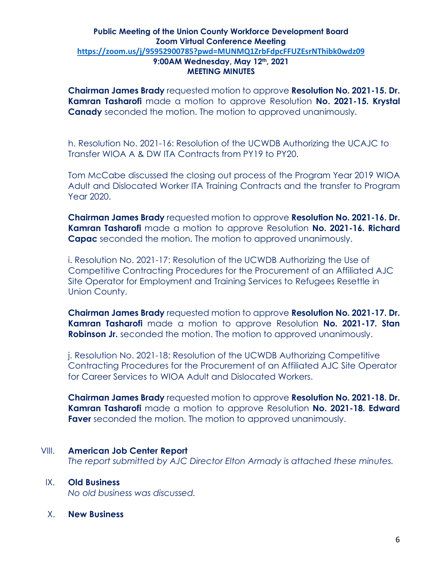**Chairman James Brady** requested motion to approve **Resolution No. 2021-15. Dr. Kamran Tasharofi** made a motion to approve Resolution **No. 2021-15. Krystal Canady** seconded the motion. The motion to approved unanimously.

h. Resolution No. 2021-16: Resolution of the UCWDB Authorizing the UCAJC to Transfer WIOA A & DW ITA Contracts from PY19 to PY20.

Tom McCabe discussed the closing out process of the Program Year 2019 WIOA Adult and Dislocated Worker ITA Training Contracts and the transfer to Program Year 2020.

**Chairman James Brady** requested motion to approve **Resolution No. 2021-16. Dr. Kamran Tasharofi** made a motion to approve Resolution **No. 2021-16. Richard Capac** seconded the motion. The motion to approved unanimously.

i. Resolution No. 2021-17: Resolution of the UCWDB Authorizing the Use of Competitive Contracting Procedures for the Procurement of an Affiliated AJC Site Operator for Employment and Training Services to Refugees Resettle in Union County.

**Chairman James Brady** requested motion to approve **Resolution No. 2021-17. Dr. Kamran Tasharofi** made a motion to approve Resolution **No. 2021-17. Stan Robinson Jr.** seconded the motion. The motion to approved unanimously.

j. Resolution No. 2021-18: Resolution of the UCWDB Authorizing Competitive Contracting Procedures for the Procurement of an Affiliated AJC Site Operator for Career Services to WIOA Adult and Dislocated Workers.

**Chairman James Brady** requested motion to approve **Resolution No. 2021-18. Dr. Kamran Tasharofi** made a motion to approve Resolution **No. 2021-18. Edward Faver** seconded the motion. The motion to approved unanimously.

# VIII. **American Job Center Report**

*The report submitted by AJC Director Elton Armady is attached these minutes.*

# IX. **Old Business**

*No old business was discussed.*

X. **New Business**